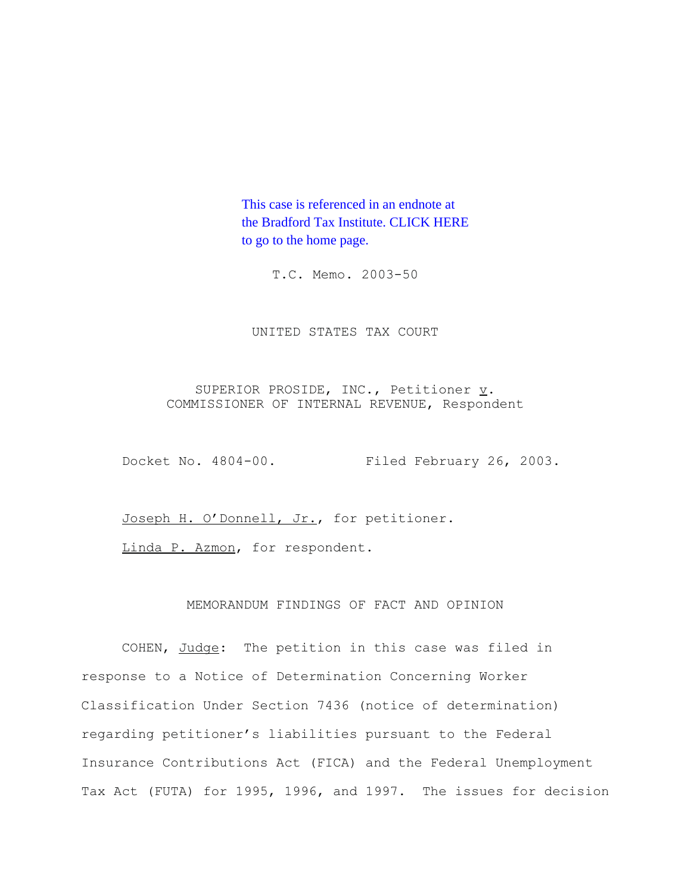This case is referenced in an endnote at [the Bradford Tax Institute. CLICK HERE](http://www.bradfordtaxinstitute.com/)  to go to the home page.

T.C. Memo. 2003-50

UNITED STATES TAX COURT

SUPERIOR PROSIDE, INC., Petitioner  $\underline{v}$ . COMMISSIONER OF INTERNAL REVENUE, Respondent

Docket No. 4804-00. Filed February 26, 2003.

Joseph H. O'Donnell, Jr., for petitioner.

Linda P. Azmon, for respondent.

# MEMORANDUM FINDINGS OF FACT AND OPINION

COHEN, Judge: The petition in this case was filed in response to a Notice of Determination Concerning Worker Classification Under Section 7436 (notice of determination) regarding petitioner's liabilities pursuant to the Federal Insurance Contributions Act (FICA) and the Federal Unemployment Tax Act (FUTA) for 1995, 1996, and 1997. The issues for decision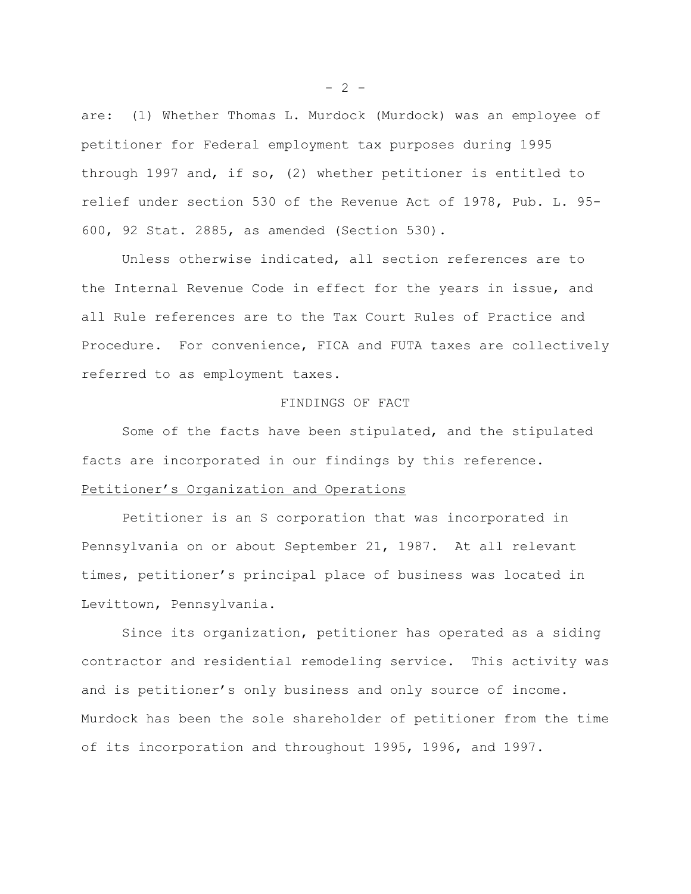are: (1) Whether Thomas L. Murdock (Murdock) was an employee of petitioner for Federal employment tax purposes during 1995 through 1997 and, if so, (2) whether petitioner is entitled to relief under section 530 of the Revenue Act of 1978, Pub. L. 95- 600, 92 Stat. 2885, as amended (Section 530).

Unless otherwise indicated, all section references are to the Internal Revenue Code in effect for the years in issue, and all Rule references are to the Tax Court Rules of Practice and Procedure. For convenience, FICA and FUTA taxes are collectively referred to as employment taxes.

#### FINDINGS OF FACT

Some of the facts have been stipulated, and the stipulated facts are incorporated in our findings by this reference.

#### Petitioner's Organization and Operations

Petitioner is an S corporation that was incorporated in Pennsylvania on or about September 21, 1987. At all relevant times, petitioner's principal place of business was located in Levittown, Pennsylvania.

Since its organization, petitioner has operated as a siding contractor and residential remodeling service. This activity was and is petitioner's only business and only source of income. Murdock has been the sole shareholder of petitioner from the time of its incorporation and throughout 1995, 1996, and 1997.

 $- 2 -$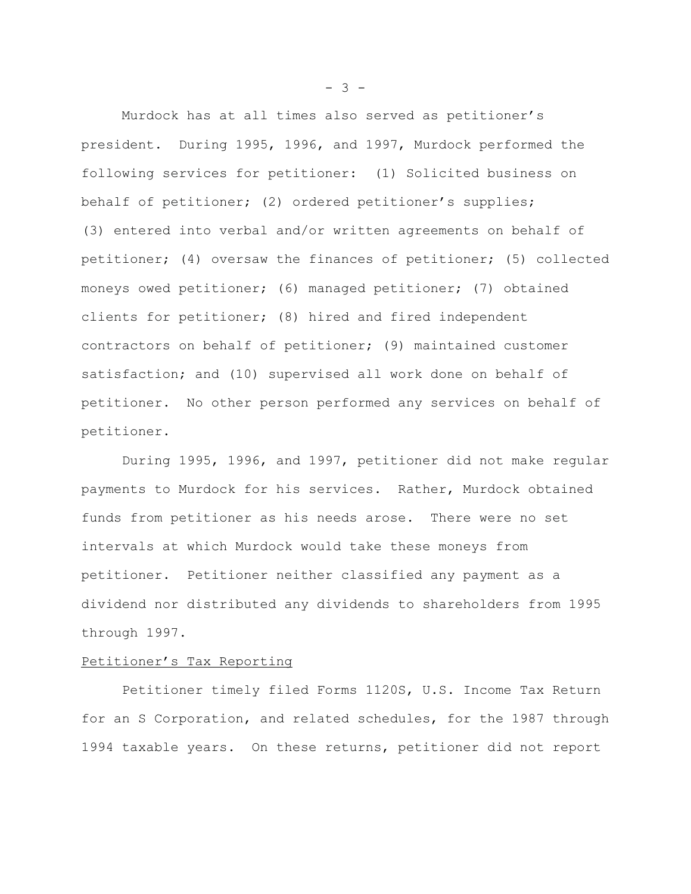Murdock has at all times also served as petitioner's president. During 1995, 1996, and 1997, Murdock performed the following services for petitioner: (1) Solicited business on behalf of petitioner; (2) ordered petitioner's supplies; (3) entered into verbal and/or written agreements on behalf of petitioner; (4) oversaw the finances of petitioner; (5) collected moneys owed petitioner; (6) managed petitioner; (7) obtained clients for petitioner; (8) hired and fired independent contractors on behalf of petitioner; (9) maintained customer satisfaction; and (10) supervised all work done on behalf of petitioner. No other person performed any services on behalf of petitioner.

During 1995, 1996, and 1997, petitioner did not make regular payments to Murdock for his services. Rather, Murdock obtained funds from petitioner as his needs arose. There were no set intervals at which Murdock would take these moneys from petitioner. Petitioner neither classified any payment as a dividend nor distributed any dividends to shareholders from 1995 through 1997.

#### Petitioner's Tax Reporting

Petitioner timely filed Forms 1120S, U.S. Income Tax Return for an S Corporation, and related schedules, for the 1987 through 1994 taxable years. On these returns, petitioner did not report

 $- 3 -$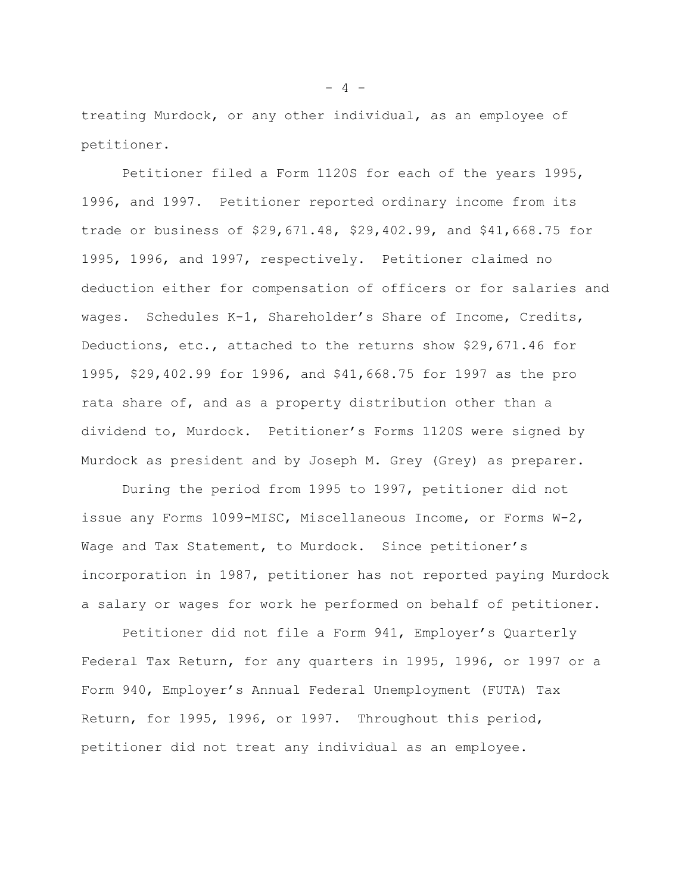treating Murdock, or any other individual, as an employee of petitioner.

Petitioner filed a Form 1120S for each of the years 1995, 1996, and 1997. Petitioner reported ordinary income from its trade or business of \$29,671.48, \$29,402.99, and \$41,668.75 for 1995, 1996, and 1997, respectively. Petitioner claimed no deduction either for compensation of officers or for salaries and wages. Schedules K-1, Shareholder's Share of Income, Credits, Deductions, etc., attached to the returns show \$29,671.46 for 1995, \$29,402.99 for 1996, and \$41,668.75 for 1997 as the pro rata share of, and as a property distribution other than a dividend to, Murdock. Petitioner's Forms 1120S were signed by Murdock as president and by Joseph M. Grey (Grey) as preparer.

During the period from 1995 to 1997, petitioner did not issue any Forms 1099-MISC, Miscellaneous Income, or Forms W-2, Wage and Tax Statement, to Murdock. Since petitioner's incorporation in 1987, petitioner has not reported paying Murdock a salary or wages for work he performed on behalf of petitioner.

Petitioner did not file a Form 941, Employer's Quarterly Federal Tax Return, for any quarters in 1995, 1996, or 1997 or a Form 940, Employer's Annual Federal Unemployment (FUTA) Tax Return, for 1995, 1996, or 1997. Throughout this period, petitioner did not treat any individual as an employee.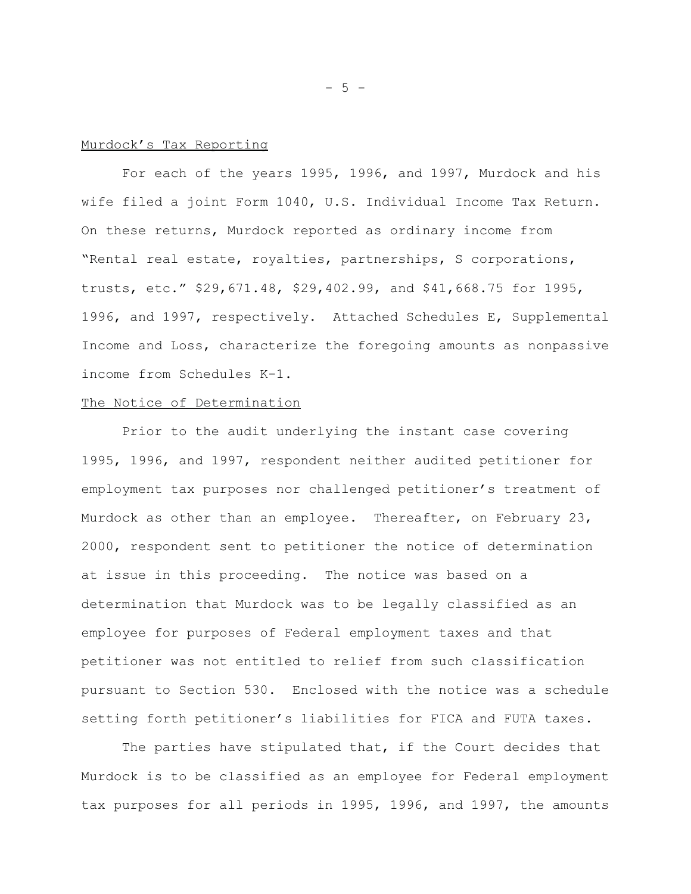#### Murdock's Tax Reporting

For each of the years 1995, 1996, and 1997, Murdock and his wife filed a joint Form 1040, U.S. Individual Income Tax Return. On these returns, Murdock reported as ordinary income from "Rental real estate, royalties, partnerships, S corporations, trusts, etc." \$29,671.48, \$29,402.99, and \$41,668.75 for 1995, 1996, and 1997, respectively. Attached Schedules E, Supplemental Income and Loss, characterize the foregoing amounts as nonpassive income from Schedules K-1.

## The Notice of Determination

Prior to the audit underlying the instant case covering 1995, 1996, and 1997, respondent neither audited petitioner for employment tax purposes nor challenged petitioner's treatment of Murdock as other than an employee. Thereafter, on February 23, 2000, respondent sent to petitioner the notice of determination at issue in this proceeding. The notice was based on a determination that Murdock was to be legally classified as an employee for purposes of Federal employment taxes and that petitioner was not entitled to relief from such classification pursuant to Section 530. Enclosed with the notice was a schedule setting forth petitioner's liabilities for FICA and FUTA taxes.

The parties have stipulated that, if the Court decides that Murdock is to be classified as an employee for Federal employment tax purposes for all periods in 1995, 1996, and 1997, the amounts

- 5 -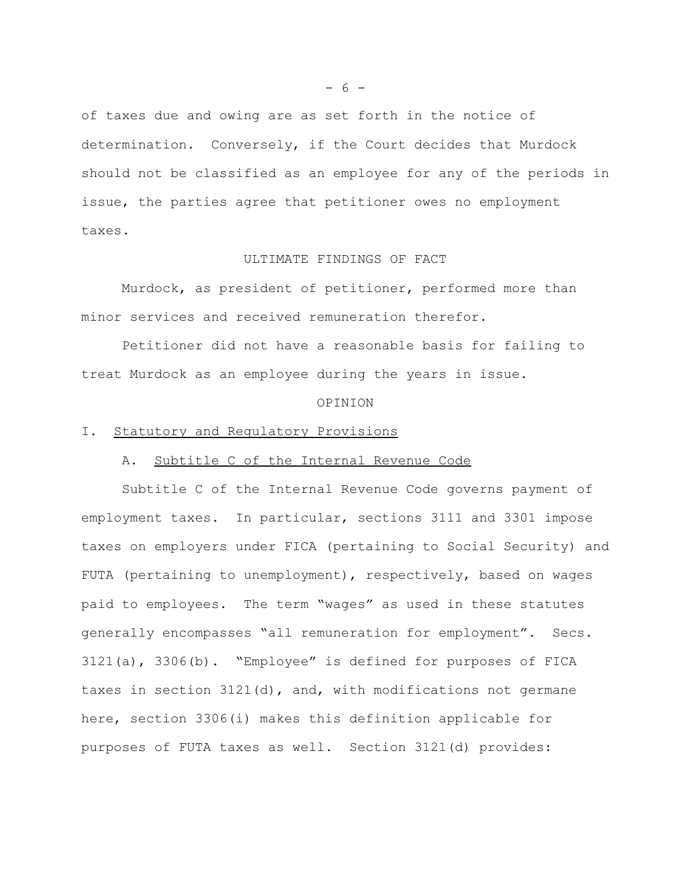of taxes due and owing are as set forth in the notice of determination. Conversely, if the Court decides that Murdock should not be classified as an employee for any of the periods in issue, the parties agree that petitioner owes no employment taxes.

#### ULTIMATE FINDINGS OF FACT

Murdock, as president of petitioner, performed more than minor services and received remuneration therefor.

Petitioner did not have a reasonable basis for failing to treat Murdock as an employee during the years in issue.

#### OPINION

## I. Statutory and Regulatory Provisions

# A. Subtitle C of the Internal Revenue Code

Subtitle C of the Internal Revenue Code governs payment of employment taxes. In particular, sections 3111 and 3301 impose taxes on employers under FICA (pertaining to Social Security) and FUTA (pertaining to unemployment), respectively, based on wages paid to employees. The term "wages" as used in these statutes generally encompasses "all remuneration for employment". Secs. 3121(a), 3306(b). "Employee" is defined for purposes of FICA taxes in section  $3121(d)$ , and, with modifications not germane here, section 3306(i) makes this definition applicable for purposes of FUTA taxes as well. Section 3121(d) provides: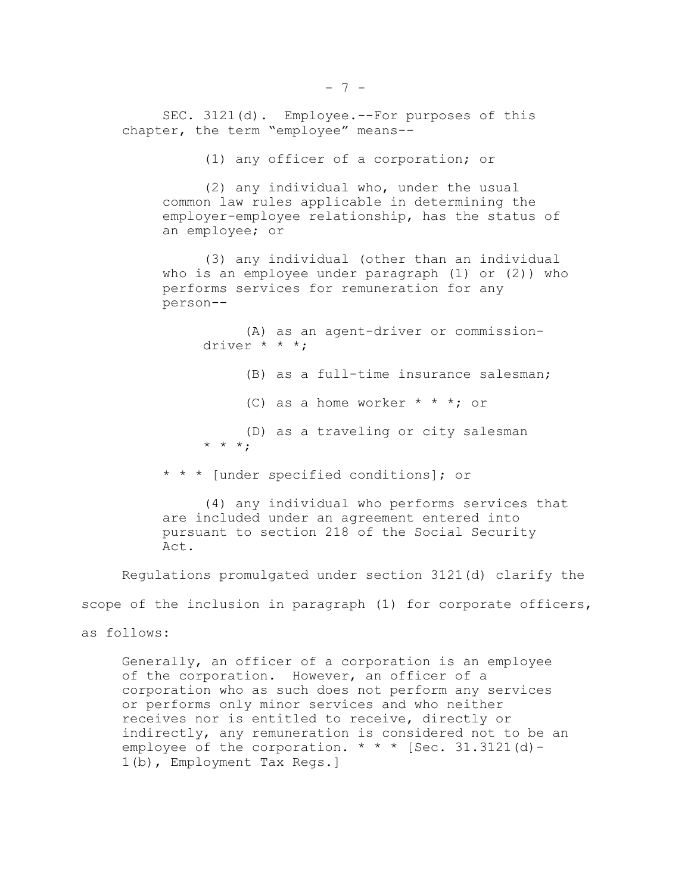SEC. 3121(d). Employee.--For purposes of this chapter, the term "employee" means--

(1) any officer of a corporation; or

(2) any individual who, under the usual common law rules applicable in determining the employer-employee relationship, has the status of an employee; or

(3) any individual (other than an individual who is an employee under paragraph (1) or (2)) who performs services for remuneration for any person--

(A) as an agent-driver or commissiondriver \* \* \*;

(B) as a full-time insurance salesman;

(C) as a home worker  $* * *$ ; or

(D) as a traveling or city salesman \* \* \* \* \*

\* \* \* [under specified conditions]; or

(4) any individual who performs services that are included under an agreement entered into pursuant to section 218 of the Social Security Act.

Regulations promulgated under section 3121(d) clarify the scope of the inclusion in paragraph (1) for corporate officers,

as follows:

Generally, an officer of a corporation is an employee of the corporation. However, an officer of a corporation who as such does not perform any services or performs only minor services and who neither receives nor is entitled to receive, directly or indirectly, any remuneration is considered not to be an employee of the corporation.  $* * *$  [Sec. 31.3121(d) -1(b), Employment Tax Regs.]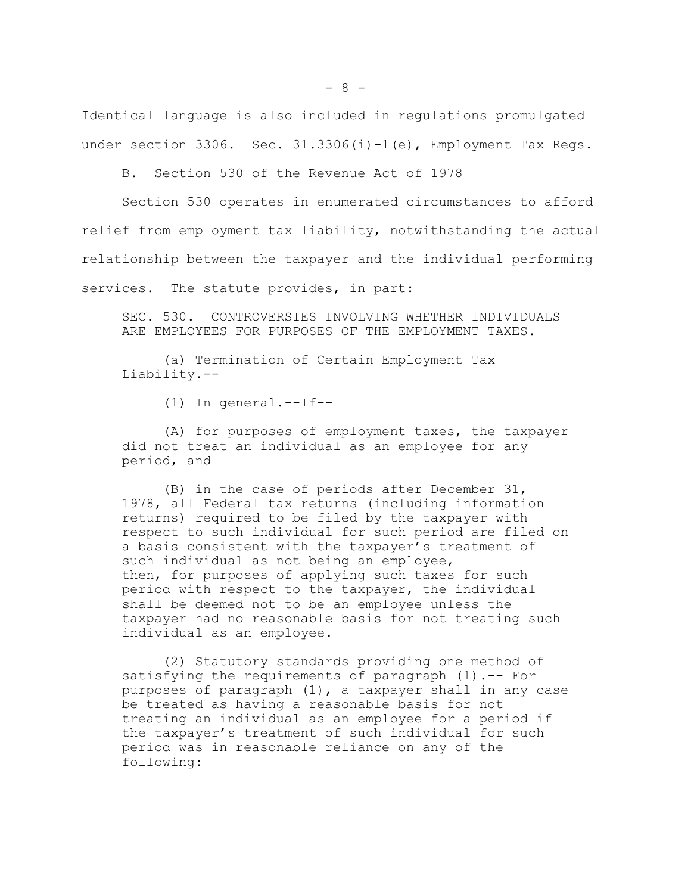Identical language is also included in regulations promulgated under section 3306. Sec. 31.3306(i)-1(e), Employment Tax Regs.

#### B. Section 530 of the Revenue Act of 1978

Section 530 operates in enumerated circumstances to afford relief from employment tax liability, notwithstanding the actual relationship between the taxpayer and the individual performing services. The statute provides, in part:

SEC. 530. CONTROVERSIES INVOLVING WHETHER INDIVIDUALS ARE EMPLOYEES FOR PURPOSES OF THE EMPLOYMENT TAXES.

(a) Termination of Certain Employment Tax Liability.--

(1) In general.--If--

(A) for purposes of employment taxes, the taxpayer did not treat an individual as an employee for any period, and

(B) in the case of periods after December 31, 1978, all Federal tax returns (including information returns) required to be filed by the taxpayer with respect to such individual for such period are filed on a basis consistent with the taxpayer's treatment of such individual as not being an employee, then, for purposes of applying such taxes for such period with respect to the taxpayer, the individual shall be deemed not to be an employee unless the taxpayer had no reasonable basis for not treating such individual as an employee.

(2) Statutory standards providing one method of satisfying the requirements of paragraph (1).-- For purposes of paragraph (1), a taxpayer shall in any case be treated as having a reasonable basis for not treating an individual as an employee for a period if the taxpayer's treatment of such individual for such period was in reasonable reliance on any of the following: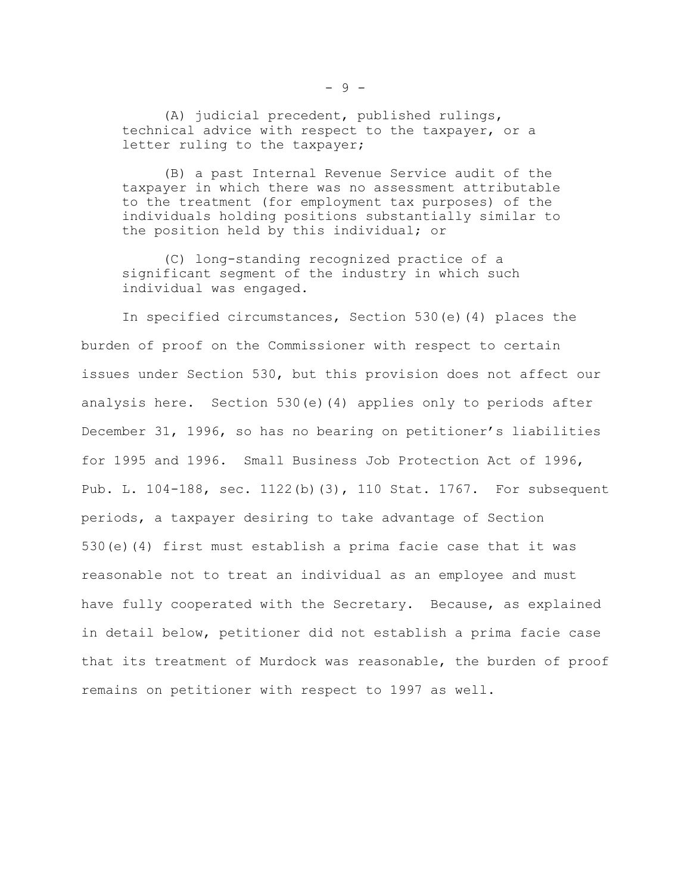(A) judicial precedent, published rulings, technical advice with respect to the taxpayer, or a letter ruling to the taxpayer;

(B) a past Internal Revenue Service audit of the taxpayer in which there was no assessment attributable to the treatment (for employment tax purposes) of the individuals holding positions substantially similar to the position held by this individual; or

(C) long-standing recognized practice of a significant segment of the industry in which such individual was engaged.

In specified circumstances, Section 530(e)(4) places the burden of proof on the Commissioner with respect to certain issues under Section 530, but this provision does not affect our analysis here. Section 530(e)(4) applies only to periods after December 31, 1996, so has no bearing on petitioner's liabilities for 1995 and 1996. Small Business Job Protection Act of 1996, Pub. L. 104-188, sec. 1122(b)(3), 110 Stat. 1767. For subsequent periods, a taxpayer desiring to take advantage of Section 530(e)(4) first must establish a prima facie case that it was reasonable not to treat an individual as an employee and must have fully cooperated with the Secretary. Because, as explained in detail below, petitioner did not establish a prima facie case that its treatment of Murdock was reasonable, the burden of proof remains on petitioner with respect to 1997 as well.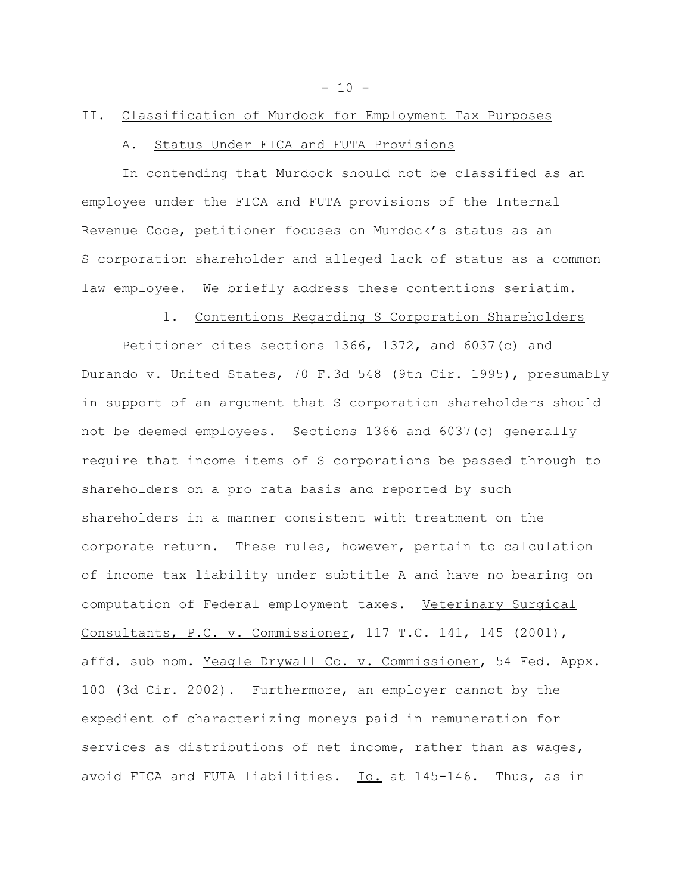$-10 -$ 

# II. Classification of Murdock for Employment Tax Purposes

# A. Status Under FICA and FUTA Provisions

In contending that Murdock should not be classified as an employee under the FICA and FUTA provisions of the Internal Revenue Code, petitioner focuses on Murdock's status as an S corporation shareholder and alleged lack of status as a common law employee. We briefly address these contentions seriatim.

## 1. Contentions Regarding S Corporation Shareholders

Petitioner cites sections 1366, 1372, and 6037(c) and Durando v. United States, 70 F.3d 548 (9th Cir. 1995), presumably in support of an argument that S corporation shareholders should not be deemed employees. Sections 1366 and 6037(c) generally require that income items of S corporations be passed through to shareholders on a pro rata basis and reported by such shareholders in a manner consistent with treatment on the corporate return. These rules, however, pertain to calculation of income tax liability under subtitle A and have no bearing on computation of Federal employment taxes. Veterinary Surgical Consultants, P.C. v. Commissioner, 117 T.C. 141, 145 (2001), affd. sub nom. Yeagle Drywall Co. v. Commissioner, 54 Fed. Appx. 100 (3d Cir. 2002). Furthermore, an employer cannot by the expedient of characterizing moneys paid in remuneration for services as distributions of net income, rather than as wages, avoid FICA and FUTA liabilities. Id. at 145-146. Thus, as in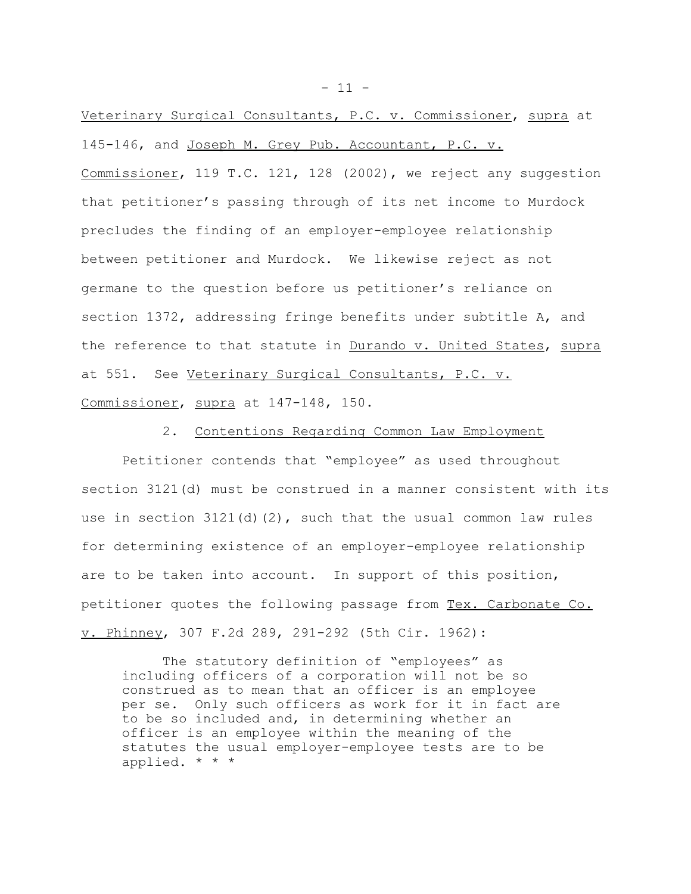Veterinary Surgical Consultants, P.C. v. Commissioner, supra at 145-146, and Joseph M. Grey Pub. Accountant, P.C. v. Commissioner, 119 T.C. 121, 128 (2002), we reject any suggestion that petitioner's passing through of its net income to Murdock precludes the finding of an employer-employee relationship between petitioner and Murdock. We likewise reject as not germane to the question before us petitioner's reliance on section 1372, addressing fringe benefits under subtitle A, and the reference to that statute in Durando v. United States, supra at 551. See Veterinary Surgical Consultants, P.C. v. Commissioner, supra at 147-148, 150.

2. Contentions Regarding Common Law Employment

Petitioner contends that "employee" as used throughout section 3121(d) must be construed in a manner consistent with its use in section  $3121(d)(2)$ , such that the usual common law rules for determining existence of an employer-employee relationship are to be taken into account. In support of this position, petitioner quotes the following passage from Tex. Carbonate Co. v. Phinney, 307 F.2d 289, 291-292 (5th Cir. 1962):

The statutory definition of "employees" as including officers of a corporation will not be so construed as to mean that an officer is an employee per se. Only such officers as work for it in fact are to be so included and, in determining whether an officer is an employee within the meaning of the statutes the usual employer-employee tests are to be applied. \* \* \*

 $- 11 -$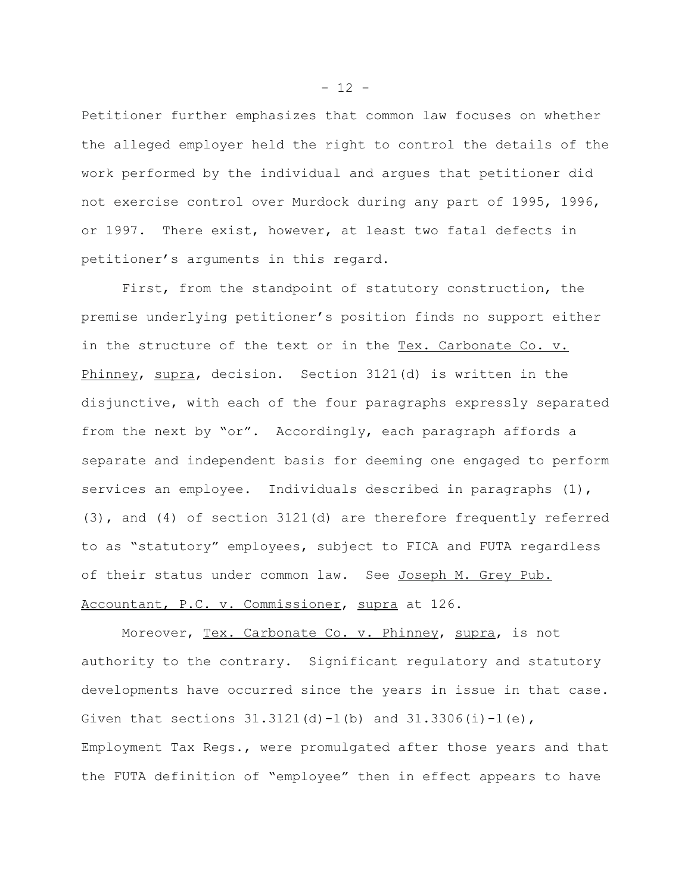Petitioner further emphasizes that common law focuses on whether the alleged employer held the right to control the details of the work performed by the individual and argues that petitioner did not exercise control over Murdock during any part of 1995, 1996, or 1997. There exist, however, at least two fatal defects in petitioner's arguments in this regard.

First, from the standpoint of statutory construction, the premise underlying petitioner's position finds no support either in the structure of the text or in the Tex. Carbonate Co. v. Phinney, supra, decision. Section 3121(d) is written in the disjunctive, with each of the four paragraphs expressly separated from the next by "or". Accordingly, each paragraph affords a separate and independent basis for deeming one engaged to perform services an employee. Individuals described in paragraphs (1), (3), and (4) of section 3121(d) are therefore frequently referred to as "statutory" employees, subject to FICA and FUTA regardless of their status under common law. See Joseph M. Grey Pub. Accountant, P.C. v. Commissioner, supra at 126.

Moreover, Tex. Carbonate Co. v. Phinney, supra, is not authority to the contrary. Significant regulatory and statutory developments have occurred since the years in issue in that case. Given that sections  $31.3121(d) - 1(b)$  and  $31.3306(i) - 1(e)$ , Employment Tax Regs., were promulgated after those years and that the FUTA definition of "employee" then in effect appears to have

 $- 12 -$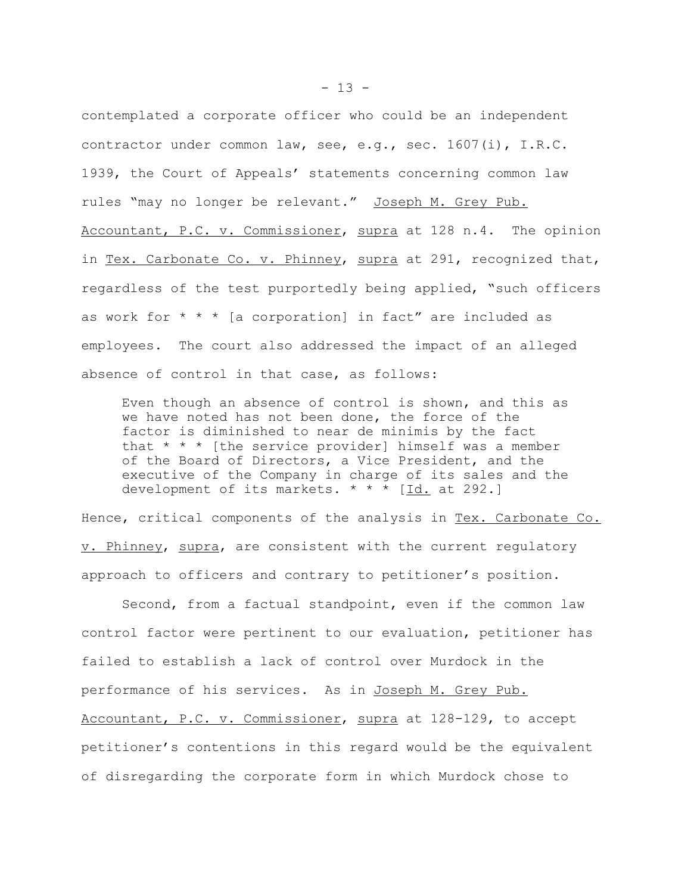contemplated a corporate officer who could be an independent contractor under common law, see, e.g., sec. 1607(i), I.R.C. 1939, the Court of Appeals' statements concerning common law rules "may no longer be relevant." Joseph M. Grey Pub. Accountant, P.C. v. Commissioner, supra at 128 n.4. The opinion in Tex. Carbonate Co. v. Phinney, supra at 291, recognized that, regardless of the test purportedly being applied, "such officers as work for  $* * *$  [a corporation] in fact" are included as employees. The court also addressed the impact of an alleged absence of control in that case, as follows:

Even though an absence of control is shown, and this as we have noted has not been done, the force of the factor is diminished to near de minimis by the fact that \* \* \* [the service provider] himself was a member of the Board of Directors, a Vice President, and the executive of the Company in charge of its sales and the development of its markets.  $\star \star \tilde{\star}$  [Id. at 292.]

Hence, critical components of the analysis in Tex. Carbonate Co. v. Phinney, supra, are consistent with the current regulatory approach to officers and contrary to petitioner's position.

Second, from a factual standpoint, even if the common law control factor were pertinent to our evaluation, petitioner has failed to establish a lack of control over Murdock in the performance of his services. As in Joseph M. Grey Pub. Accountant, P.C. v. Commissioner, supra at 128-129, to accept petitioner's contentions in this regard would be the equivalent of disregarding the corporate form in which Murdock chose to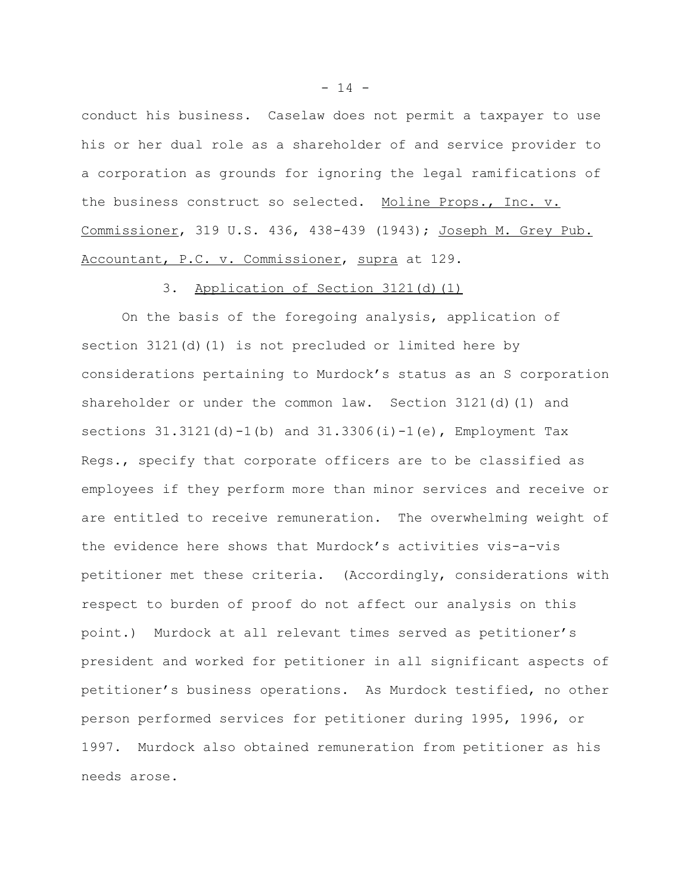conduct his business. Caselaw does not permit a taxpayer to use his or her dual role as a shareholder of and service provider to a corporation as grounds for ignoring the legal ramifications of the business construct so selected. Moline Props., Inc. v. Commissioner, 319 U.S. 436, 438-439 (1943); Joseph M. Grey Pub. Accountant, P.C. v. Commissioner, supra at 129.

## 3. Application of Section 3121(d)(1)

On the basis of the foregoing analysis, application of section 3121(d)(1) is not precluded or limited here by considerations pertaining to Murdock's status as an S corporation shareholder or under the common law. Section 3121(d)(1) and sections  $31.3121(d) - 1(b)$  and  $31.3306(i) - 1(e)$ , Employment Tax Regs., specify that corporate officers are to be classified as employees if they perform more than minor services and receive or are entitled to receive remuneration. The overwhelming weight of the evidence here shows that Murdock's activities vis-a-vis petitioner met these criteria. (Accordingly, considerations with respect to burden of proof do not affect our analysis on this point.) Murdock at all relevant times served as petitioner's president and worked for petitioner in all significant aspects of petitioner's business operations. As Murdock testified, no other person performed services for petitioner during 1995, 1996, or 1997. Murdock also obtained remuneration from petitioner as his needs arose.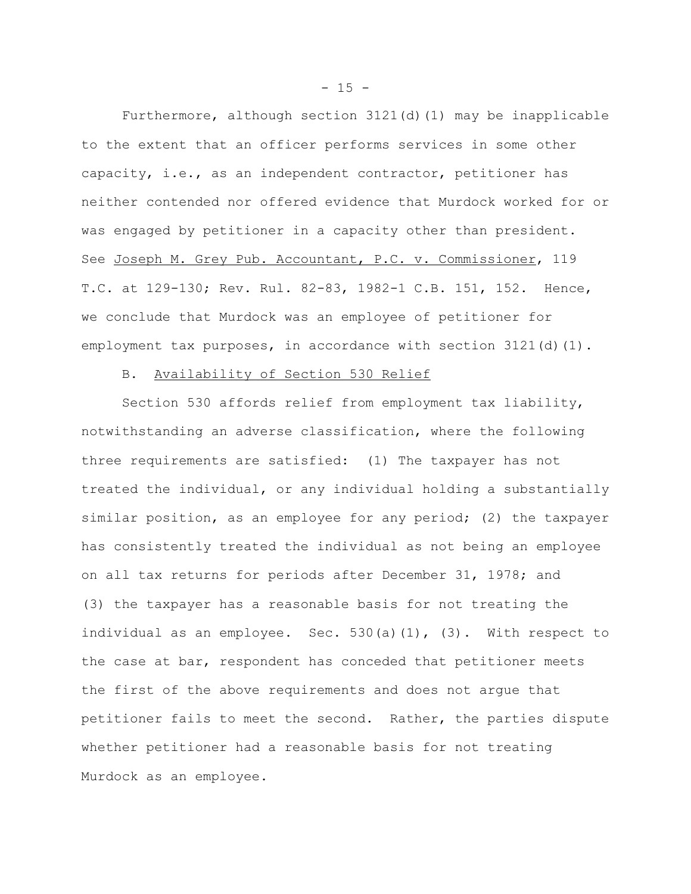Furthermore, although section 3121(d)(1) may be inapplicable to the extent that an officer performs services in some other capacity, i.e., as an independent contractor, petitioner has neither contended nor offered evidence that Murdock worked for or was engaged by petitioner in a capacity other than president. See Joseph M. Grey Pub. Accountant, P.C. v. Commissioner, 119 T.C. at 129-130; Rev. Rul. 82-83, 1982-1 C.B. 151, 152. Hence, we conclude that Murdock was an employee of petitioner for employment tax purposes, in accordance with section  $3121(d)(1)$ .

## B. Availability of Section 530 Relief

Section 530 affords relief from employment tax liability, notwithstanding an adverse classification, where the following three requirements are satisfied: (1) The taxpayer has not treated the individual, or any individual holding a substantially similar position, as an employee for any period; (2) the taxpayer has consistently treated the individual as not being an employee on all tax returns for periods after December 31, 1978; and (3) the taxpayer has a reasonable basis for not treating the individual as an employee. Sec. 530(a)(1), (3). With respect to the case at bar, respondent has conceded that petitioner meets the first of the above requirements and does not argue that petitioner fails to meet the second. Rather, the parties dispute whether petitioner had a reasonable basis for not treating Murdock as an employee.

 $- 15 -$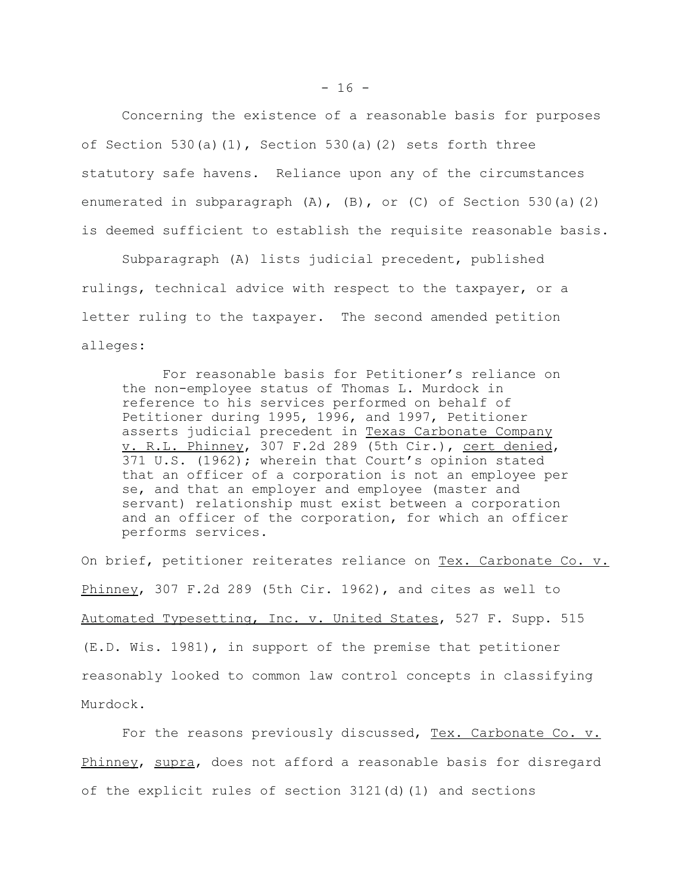Concerning the existence of a reasonable basis for purposes of Section 530(a)(1), Section 530(a)(2) sets forth three statutory safe havens. Reliance upon any of the circumstances enumerated in subparagraph (A), (B), or (C) of Section 530(a)(2) is deemed sufficient to establish the requisite reasonable basis.

Subparagraph (A) lists judicial precedent, published rulings, technical advice with respect to the taxpayer, or a letter ruling to the taxpayer. The second amended petition alleges:

For reasonable basis for Petitioner's reliance on the non-employee status of Thomas L. Murdock in reference to his services performed on behalf of Petitioner during 1995, 1996, and 1997, Petitioner asserts judicial precedent in Texas Carbonate Company v. R.L. Phinney, 307 F.2d 289 (5th Cir.), cert denied, 371 U.S. (1962); wherein that Court's opinion stated that an officer of a corporation is not an employee per se, and that an employer and employee (master and servant) relationship must exist between a corporation and an officer of the corporation, for which an officer performs services.

On brief, petitioner reiterates reliance on Tex. Carbonate Co. v. Phinney, 307 F.2d 289 (5th Cir. 1962), and cites as well to Automated Typesetting, Inc. v. United States, 527 F. Supp. 515 (E.D. Wis. 1981), in support of the premise that petitioner reasonably looked to common law control concepts in classifying Murdock.

For the reasons previously discussed, Tex. Carbonate Co. v. Phinney, supra, does not afford a reasonable basis for disregard of the explicit rules of section  $3121(d)$  (1) and sections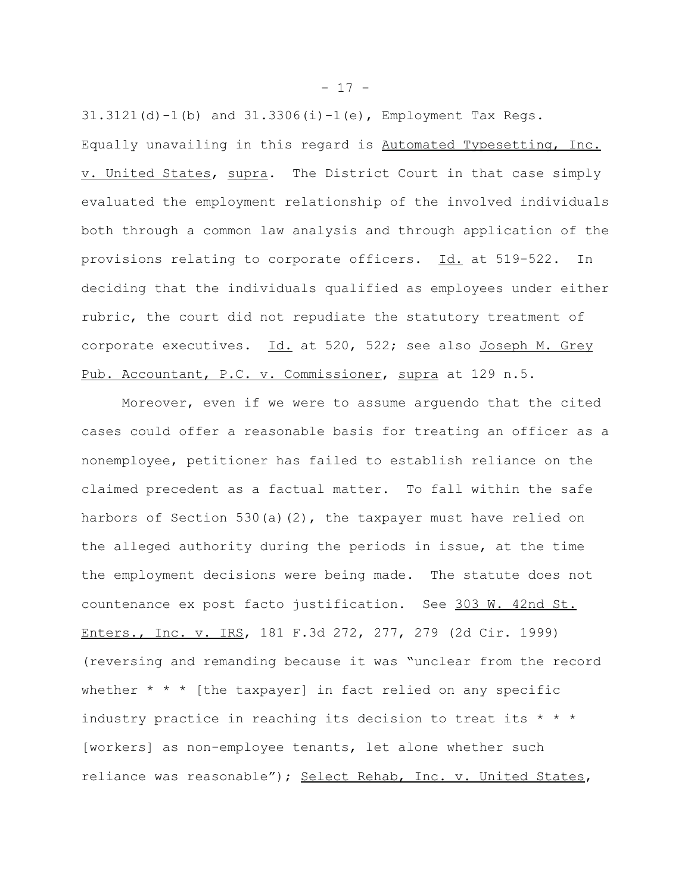$31.3121(d) - 1(b)$  and  $31.3306(i) - 1(e)$ , Employment Tax Regs. Equally unavailing in this regard is Automated Typesetting, Inc. v. United States, supra. The District Court in that case simply evaluated the employment relationship of the involved individuals both through a common law analysis and through application of the provisions relating to corporate officers. Id. at 519-522. In deciding that the individuals qualified as employees under either rubric, the court did not repudiate the statutory treatment of corporate executives. Id. at 520, 522; see also Joseph M. Grey Pub. Accountant, P.C. v. Commissioner, supra at 129 n.5.

Moreover, even if we were to assume arguendo that the cited cases could offer a reasonable basis for treating an officer as a nonemployee, petitioner has failed to establish reliance on the claimed precedent as a factual matter. To fall within the safe harbors of Section 530(a)(2), the taxpayer must have relied on the alleged authority during the periods in issue, at the time the employment decisions were being made. The statute does not countenance ex post facto justification. See 303 W. 42nd St. Enters., Inc. v. IRS, 181 F.3d 272, 277, 279 (2d Cir. 1999) (reversing and remanding because it was "unclear from the record whether  $* * *$  [the taxpayer] in fact relied on any specific industry practice in reaching its decision to treat its \* \* \* [workers] as non-employee tenants, let alone whether such reliance was reasonable"); Select Rehab, Inc. v. United States,

 $- 17 -$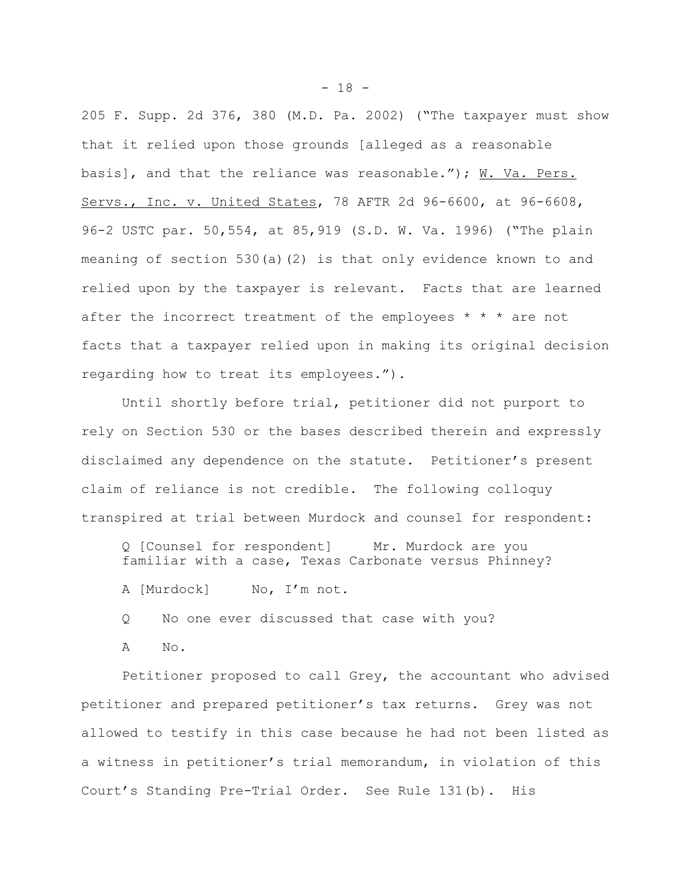205 F. Supp. 2d 376, 380 (M.D. Pa. 2002) ("The taxpayer must show that it relied upon those grounds [alleged as a reasonable basis], and that the reliance was reasonable."); W. Va. Pers. Servs., Inc. v. United States, 78 AFTR 2d 96-6600, at 96-6608, 96-2 USTC par. 50,554, at 85,919 (S.D. W. Va. 1996) ("The plain meaning of section 530(a)(2) is that only evidence known to and relied upon by the taxpayer is relevant. Facts that are learned after the incorrect treatment of the employees  $* * *$  are not facts that a taxpayer relied upon in making its original decision regarding how to treat its employees.").

Until shortly before trial, petitioner did not purport to rely on Section 530 or the bases described therein and expressly disclaimed any dependence on the statute. Petitioner's present claim of reliance is not credible. The following colloquy transpired at trial between Murdock and counsel for respondent:

Q [Counsel for respondent] Mr. Murdock are you familiar with a case, Texas Carbonate versus Phinney?

A [Murdock] No, I'm not.

Q No one ever discussed that case with you?

A No.

Petitioner proposed to call Grey, the accountant who advised petitioner and prepared petitioner's tax returns. Grey was not allowed to testify in this case because he had not been listed as a witness in petitioner's trial memorandum, in violation of this Court's Standing Pre-Trial Order. See Rule 131(b). His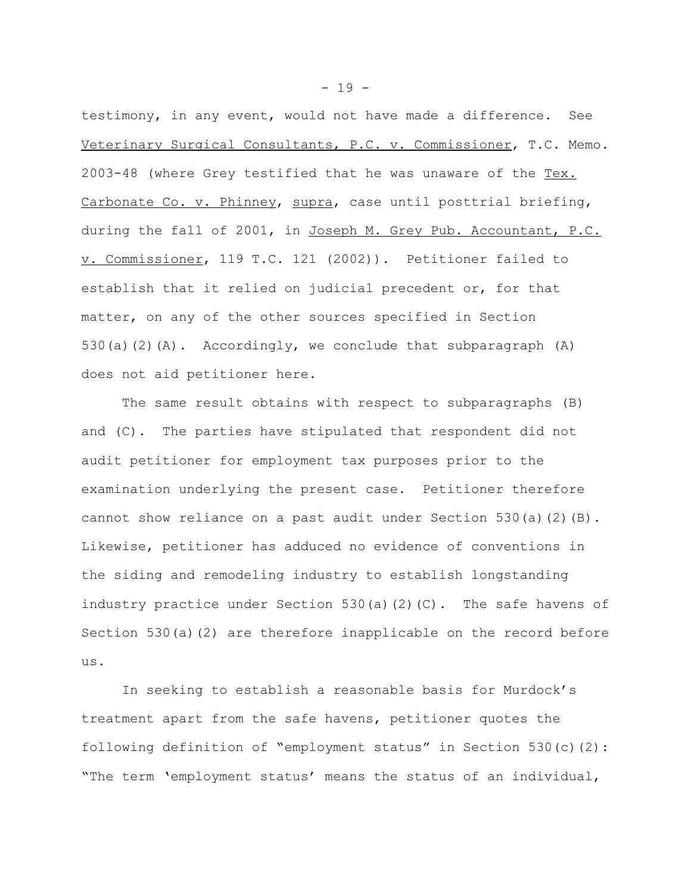testimony, in any event, would not have made a difference. See Veterinary Surgical Consultants, P.C. v. Commissioner, T.C. Memo. 2003-48 (where Grey testified that he was unaware of the Tex. Carbonate Co. v. Phinney, supra, case until posttrial briefing, during the fall of 2001, in Joseph M. Grey Pub. Accountant, P.C. v. Commissioner, 119 T.C. 121 (2002)). Petitioner failed to establish that it relied on judicial precedent or, for that matter, on any of the other sources specified in Section 530(a)(2)(A). Accordingly, we conclude that subparagraph  $(A)$ does not aid petitioner here.

The same result obtains with respect to subparagraphs (B) and (C). The parties have stipulated that respondent did not audit petitioner for employment tax purposes prior to the examination underlying the present case. Petitioner therefore cannot show reliance on a past audit under Section 530(a)(2)(B). Likewise, petitioner has adduced no evidence of conventions in the siding and remodeling industry to establish longstanding industry practice under Section 530(a)(2)(C). The safe havens of Section 530(a)(2) are therefore inapplicable on the record before us.

In seeking to establish a reasonable basis for Murdock's treatment apart from the safe havens, petitioner quotes the following definition of "employment status" in Section 530(c)(2): "The term 'employment status' means the status of an individual,

 $- 19 -$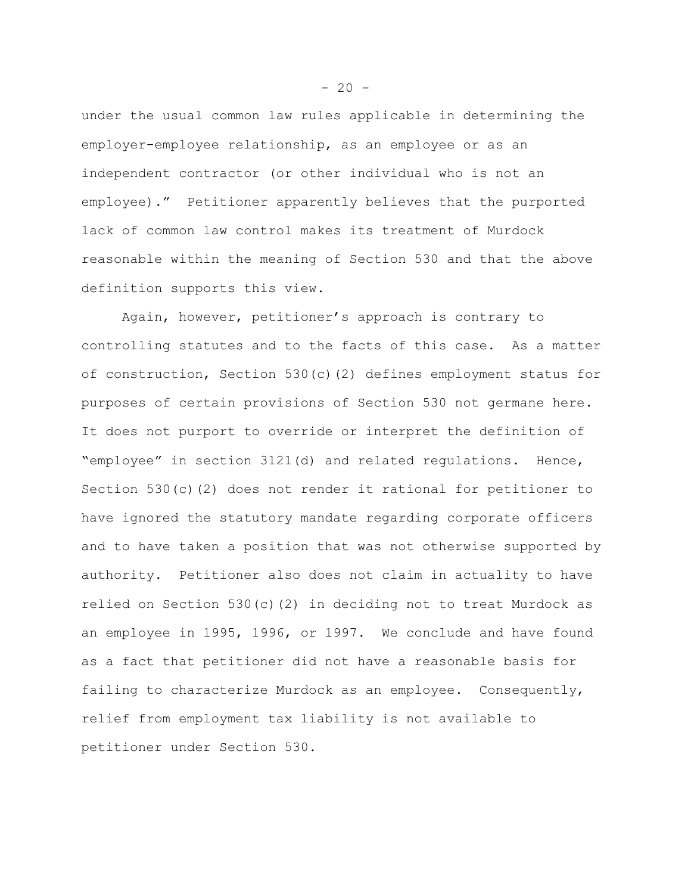under the usual common law rules applicable in determining the employer-employee relationship, as an employee or as an independent contractor (or other individual who is not an employee)." Petitioner apparently believes that the purported lack of common law control makes its treatment of Murdock reasonable within the meaning of Section 530 and that the above definition supports this view.

Again, however, petitioner's approach is contrary to controlling statutes and to the facts of this case. As a matter of construction, Section 530(c)(2) defines employment status for purposes of certain provisions of Section 530 not germane here. It does not purport to override or interpret the definition of "employee" in section 3121(d) and related regulations. Hence, Section 530(c)(2) does not render it rational for petitioner to have ignored the statutory mandate regarding corporate officers and to have taken a position that was not otherwise supported by authority. Petitioner also does not claim in actuality to have relied on Section 530(c)(2) in deciding not to treat Murdock as an employee in 1995, 1996, or 1997. We conclude and have found as a fact that petitioner did not have a reasonable basis for failing to characterize Murdock as an employee. Consequently, relief from employment tax liability is not available to petitioner under Section 530.

 $-20 -$